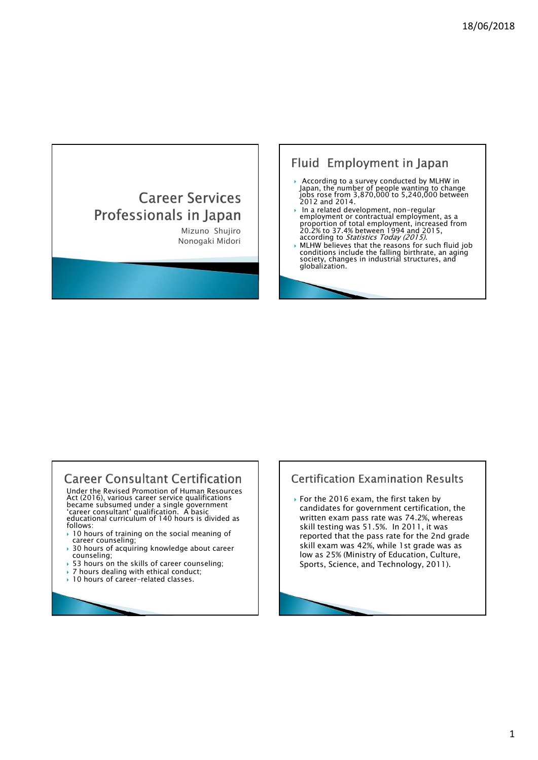- Japan, the number of people wanting to change jobs rose from 3,870,000 to 5,240,000 between 2012 and 2014.
- 18/06/201<br>
18/06/201<br>
Mizuno Shujiro China da survey conducted by MLHW in<br>
18/06/201<br>
Mach, the number of people waturing to change<br>
2007/29:0 1971<br>
2007/29:0 1971<br>
2007/29:0 1971<br>
2007/29:0 1971<br>
2007/29:0 1971<br>
2007/29: Fluid Employment in Japan<br>  $\Gamma$  Services<br>  $\begin{bmatrix}\n\text{S}\n\text{in } \text{Id}\n\end{bmatrix}\n\begin{bmatrix}\n\text{As a case, where } \text{conjugate by } \text{A}\n\end{bmatrix}\n\begin{bmatrix}\n\text{As a case, where } \text{conjugate by } \text{A}\n\end{bmatrix}\n\begin{bmatrix}\n\text{As a case, and } \text{A}\n\end{bmatrix}\n\begin{bmatrix}\n\text{As a case, and } \text{A}\n\end{bmatrix}\n\begin{bmatrix}\n\text{An area of } \$ In a related development, non-regular<br>employment or contractual employment, as a<br>proportion of total employment, increased from<br>20.2% to 37.4% between 1994 and 2015, according to Statistics Today (2015).
	- NUHW believes that the reasons for such fluid job<br>
	MLHW believes that the reasons for such fluid job<br>
	conditions include the falling birthrate, an aging<br>
	society, changes in industrial structures, and<br>
	globalization.

# **Career Consultant Certification**

Under the Revised Promotion of Human Resources Act (2016), various career service qualifications became subsumed under a single government 'career consultant' qualification. A basic<br>educational curriculum of 140 hours is divided as each as written e follows:

- $\rightarrow$  10 hours of training on the social meaning of career counseling;
- 30 hours of acquiring knowledge about career counseling;
- ▶ 53 hours on the skills of career counseling:
- ▶ 7 hours dealing with ethical conduct;
- ▶ 10 hours of career-related classes.

# **Certification Examination Results**

▶ For the 2016 exam, the first taken by candidates for government certification, the written exam pass rate was 74.2%, whereas skill testing was 51.5%. In 2011, it was reported that the pass rate for the 2nd grade skill exam was 42%, while 1st grade was as low as 25% (Ministry of Education, Culture, Sports, Science, and Technology, 2011).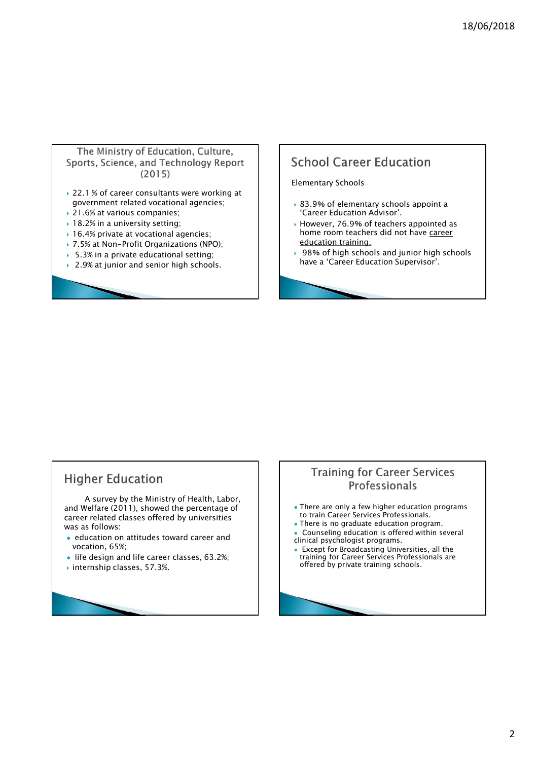### The Ministry of Education, Culture, Sports, Science, and Technology Report  $(2015)$

- ▶ 22.1 % of career consultants were working at government related vocational agencies;
- ▶ 21.6% at various companies;
- ▶ 18.2% in a university setting;
- ▶ 16.4% private at vocational agencies;
- ▶ 7.5% at Non-Profit Organizations (NPO);
- ▶ 5.3% in a private educational setting;
- ▶ 2.9% at junior and senior high schools.

# **School Career Education**

### Elementary Schools

- ▶ 83.9% of elementary schools appoint a 'Career Education Advisor'.
- However, 76.9% of teachers appointed as home room teachers did not have career education training.
- ▶ 98% of high schools and junior high schools have a 'Career Education Supervisor'.

# **Higher Education**

A survey by the Ministry of Health, Labor,<br>Velfare (2011), showed the percentage of **Alta Constant Constant** only a few higher education programs and Welfare (2011), showed the percentage of career related classes offered by universities was as follows: and Welfare (2011), showed the percentage of<br>
variation classes offered by universities<br>
variation on attitudes toward career and<br>
• education on attitudes toward career and<br>
• life design and life career classes, 63.2%;<br>

- education on attitudes toward career and vocation, 65%;
- life design and life career classes, 63.2%;
- 

## **Training for Career Services** Professionals

- to train Career Services Professionals.
- There is no graduate education program.
- Counseling education is offered within several
- clinical psychologist programs. Except for Broadcasting Universities, all the training for Career Services Professionals are offered by private training schools.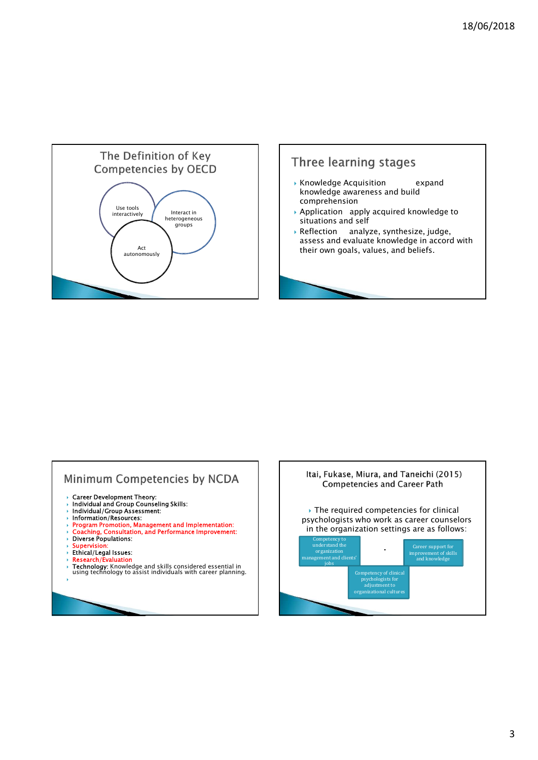



# Minimum Competencies by NCDA

- 
- › Career Development Theory:<br>› Individual and Group Counseling Skills:<br>› Individual/Group Assessment:
- Information/Resources:
- 
- $\rightarrow$  Program Promotion, Management and Implementation:  $\sim$  Coaching, Consultation, and Performance Improvement:  $\sim$  and  $\sim$  10 and Performance Improvement:
- Diverse Populations:
- 
- → Supervision:<br>→ Ethical/Legal Issues:
- 
- Research/Evaluation<br>→ Technology: Knowledge and skills considered essential in using technology: with career planning.<br>→ using technology to assist individuals with career planning.

the contract of the contract of the contract of the contract of the contract of the contract of the contract of

Itai, Fukase, Miura, and Taneichi (2015) **Competencies and Career Path** ▶ The required competencies for clinical psychologists who work as career counselors in the organization settings are as follows: Competency to understand the organization of skills and clients' idea<br>
organization improvement of skills and knowledge into the organization<br>
idea<br>
idea<br>
idea<br>
idea<br>
idea<br>
idea<br>
idea<br>
idea<br>
idea<br>
idea<br>
idea<br>
idea<br>
idea<br>
i Career support for improvement of skills and knowledge Competency of clinical psychologists for adjustment to organizational culture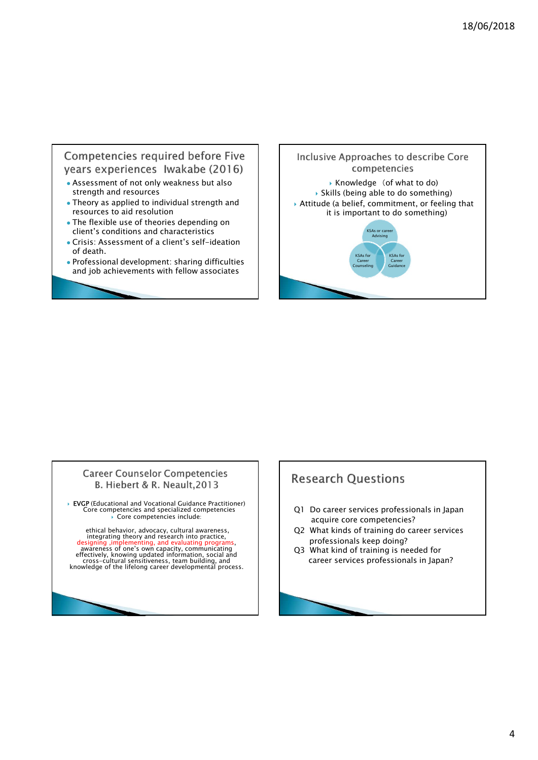## Competencies required before Five years experiences Iwakabe (2016)

- Assessment of not only weakness but also strength and resources
- Theory as applied to individual strength and resources to aid resolution
- The flexible use of theories depending on client's conditions and characteristics
- Crisis: Assessment of a client's self-ideation of death.
- Professional development: sharing difficulties and job achievements with fellow associates



## **Career Counselor Competencies** B. Hiebert & R. Neault, 2013

 EVGP (Educational and Vocational Guidance Practitioner) Core competencies and specialized competencies Core competencies include:

ethical behavior, advocacy, cultural awareness,<br>
designing , implementing, and evaluating programs,<br>
designing , implementing, and evaluating programs,<br>
awareness of one's own capacity, communicating<br>
effectively, knowing

# **Research Questions**

- Q1 Do career services professionals in Japan acquire core competencies?
- Q2 What kinds of training do career services professionals keep doing?
- Q3 What kind of training is needed for career services professionals in Japan?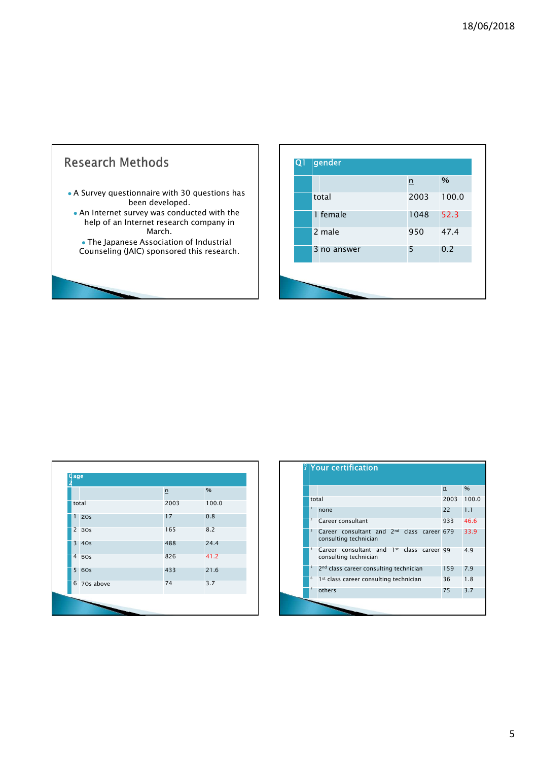# **Research Methods**  A Survey questionnaire with 30 questions has been developed. • An Internet survey was conducted with the the sound of the sound of the sound of  $\sim$  1 fem help of an Internet research company in March.  $\bullet$  The Japanese Association of Industrial  $\begin{array}{|c|c|c|c|c|}\hline \ \bullet & \bullet & \bullet\ \hline \end{array}$ Counseling (JAIC) sponsored this research.

| 18/06/2018<br>gender<br>Q1<br>$\%$<br>$\underline{\mathsf{n}}$<br>2003<br>100.0<br>total<br>1 female<br>1048<br>52.3<br>2 male<br>47.4<br>950<br>0.2<br>3 no answer<br>5 |  |
|--------------------------------------------------------------------------------------------------------------------------------------------------------------------------|--|
|                                                                                                                                                                          |  |
|                                                                                                                                                                          |  |
|                                                                                                                                                                          |  |
|                                                                                                                                                                          |  |
|                                                                                                                                                                          |  |
|                                                                                                                                                                          |  |
|                                                                                                                                                                          |  |
|                                                                                                                                                                          |  |
|                                                                                                                                                                          |  |
|                                                                                                                                                                          |  |
|                                                                                                                                                                          |  |

| n    | $\frac{9}{6}$ |                                                            |
|------|---------------|------------------------------------------------------------|
|      |               |                                                            |
| 2003 | 100.0         | total                                                      |
| 17   | 0.8           | none<br>Career consultant                                  |
| 165  | 8.2           | Career consultant and 2nd                                  |
| 488  | 24.4          | consulting technician<br>Career consultant and 1st         |
| 826  | 41.2          | consulting technician                                      |
| 433  | 21.6          | 5<br>2 <sup>nd</sup> class career consulting ted           |
| 74   | 3.7           | 6<br>1 <sup>st</sup> class career consulting tec<br>others |
|      |               |                                                            |

| $\frac{1}{3}$ Your certification<br>%<br>n<br>$\frac{9}{6}$<br>n<br>2003 100.0<br>total<br>2003<br>100.0<br>22<br>$\vert 1.1 \vert$<br>none<br>17<br>0.8<br>46.6<br>Career consultant<br>933<br>8.2<br>165<br>Career consultant and 2 <sup>nd</sup> class career 679<br>33.9<br>consulting technician<br>488<br>24.4<br>Career consultant and 1st class career 99<br>4.9<br>826<br>41.2<br>consulting technician<br>2 <sup>nd</sup> class career consulting technician<br>159 7.9<br>433<br>21.6<br>1st class career consulting technician<br>36<br>1.8<br>74<br>3.7<br>others<br>75 3.7 |  |  |
|------------------------------------------------------------------------------------------------------------------------------------------------------------------------------------------------------------------------------------------------------------------------------------------------------------------------------------------------------------------------------------------------------------------------------------------------------------------------------------------------------------------------------------------------------------------------------------------|--|--|
| age<br>total<br>120s                                                                                                                                                                                                                                                                                                                                                                                                                                                                                                                                                                     |  |  |
|                                                                                                                                                                                                                                                                                                                                                                                                                                                                                                                                                                                          |  |  |
|                                                                                                                                                                                                                                                                                                                                                                                                                                                                                                                                                                                          |  |  |
|                                                                                                                                                                                                                                                                                                                                                                                                                                                                                                                                                                                          |  |  |
|                                                                                                                                                                                                                                                                                                                                                                                                                                                                                                                                                                                          |  |  |
|                                                                                                                                                                                                                                                                                                                                                                                                                                                                                                                                                                                          |  |  |
|                                                                                                                                                                                                                                                                                                                                                                                                                                                                                                                                                                                          |  |  |
|                                                                                                                                                                                                                                                                                                                                                                                                                                                                                                                                                                                          |  |  |
|                                                                                                                                                                                                                                                                                                                                                                                                                                                                                                                                                                                          |  |  |
|                                                                                                                                                                                                                                                                                                                                                                                                                                                                                                                                                                                          |  |  |
|                                                                                                                                                                                                                                                                                                                                                                                                                                                                                                                                                                                          |  |  |
|                                                                                                                                                                                                                                                                                                                                                                                                                                                                                                                                                                                          |  |  |
|                                                                                                                                                                                                                                                                                                                                                                                                                                                                                                                                                                                          |  |  |
|                                                                                                                                                                                                                                                                                                                                                                                                                                                                                                                                                                                          |  |  |
|                                                                                                                                                                                                                                                                                                                                                                                                                                                                                                                                                                                          |  |  |
|                                                                                                                                                                                                                                                                                                                                                                                                                                                                                                                                                                                          |  |  |
|                                                                                                                                                                                                                                                                                                                                                                                                                                                                                                                                                                                          |  |  |
|                                                                                                                                                                                                                                                                                                                                                                                                                                                                                                                                                                                          |  |  |
| $2 \overline{30s}$                                                                                                                                                                                                                                                                                                                                                                                                                                                                                                                                                                       |  |  |
| $3 \overline{40s}$<br>$4\overline{50s}$<br>$5\overline{60s}$<br>6 70s above                                                                                                                                                                                                                                                                                                                                                                                                                                                                                                              |  |  |
|                                                                                                                                                                                                                                                                                                                                                                                                                                                                                                                                                                                          |  |  |
|                                                                                                                                                                                                                                                                                                                                                                                                                                                                                                                                                                                          |  |  |
|                                                                                                                                                                                                                                                                                                                                                                                                                                                                                                                                                                                          |  |  |
|                                                                                                                                                                                                                                                                                                                                                                                                                                                                                                                                                                                          |  |  |
|                                                                                                                                                                                                                                                                                                                                                                                                                                                                                                                                                                                          |  |  |
|                                                                                                                                                                                                                                                                                                                                                                                                                                                                                                                                                                                          |  |  |
|                                                                                                                                                                                                                                                                                                                                                                                                                                                                                                                                                                                          |  |  |
|                                                                                                                                                                                                                                                                                                                                                                                                                                                                                                                                                                                          |  |  |
|                                                                                                                                                                                                                                                                                                                                                                                                                                                                                                                                                                                          |  |  |
|                                                                                                                                                                                                                                                                                                                                                                                                                                                                                                                                                                                          |  |  |
|                                                                                                                                                                                                                                                                                                                                                                                                                                                                                                                                                                                          |  |  |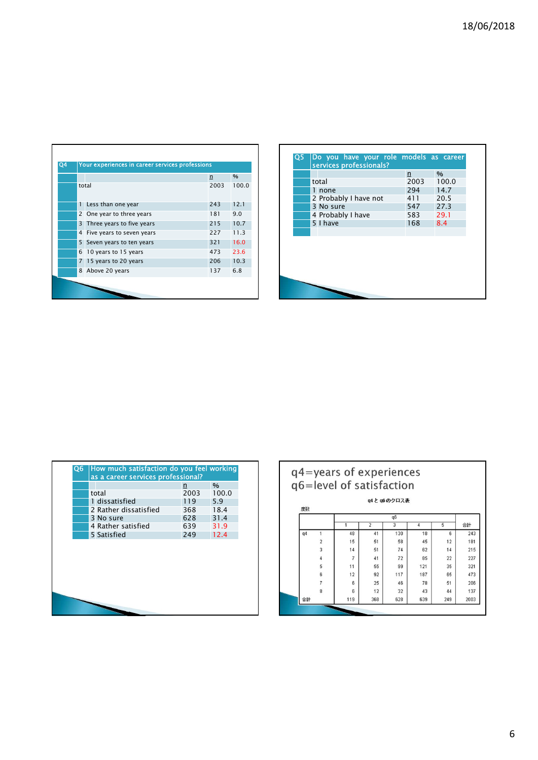| Q4 |    | Your experiences in career services professions |      |       |
|----|----|-------------------------------------------------|------|-------|
|    |    |                                                 | n    | $\%$  |
|    |    | total                                           | 2003 | 100.0 |
|    | 1  | Less than one year                              | 243  | 12.1  |
|    | 2  | One year to three years                         | 181  | 9.0   |
|    | 3  | Three years to five years                       | 215  | 10.7  |
|    | 4  | Five years to seven years                       | 227  | 11.3  |
|    | 5. | Seven years to ten years                        | 321  | 16.0  |
|    | 6  | 10 years to 15 years                            | 473  | 23.6  |
|    | 7  | 15 years to 20 years                            | 206  | 10.3  |
|    |    | 8 Above 20 years                                | 137  | 6.8   |
|    |    |                                                 |      |       |

|                                                  |            | n | %<br>2003 | Your experiences in career services professions<br>total | $\overline{Q4}$<br>100.0 | 1 Less than one year<br>243<br>12.1 |
|--------------------------------------------------|------------|---|-----------|----------------------------------------------------------|--------------------------|-------------------------------------|
|                                                  |            |   |           |                                                          |                          |                                     |
|                                                  |            |   |           |                                                          |                          |                                     |
|                                                  |            |   |           |                                                          |                          |                                     |
|                                                  |            |   |           |                                                          |                          |                                     |
|                                                  |            |   |           |                                                          |                          |                                     |
|                                                  |            |   |           |                                                          |                          |                                     |
|                                                  |            |   |           |                                                          |                          |                                     |
|                                                  |            |   |           |                                                          |                          |                                     |
|                                                  |            |   |           |                                                          |                          |                                     |
|                                                  |            |   |           |                                                          |                          |                                     |
|                                                  |            |   |           |                                                          |                          |                                     |
|                                                  |            |   |           |                                                          |                          |                                     |
|                                                  |            |   |           |                                                          |                          |                                     |
|                                                  |            |   |           |                                                          |                          |                                     |
|                                                  |            |   |           |                                                          |                          |                                     |
|                                                  |            |   |           |                                                          |                          |                                     |
|                                                  |            |   |           |                                                          |                          |                                     |
| 2 One year to three years                        | 181<br>9.0 |   |           |                                                          |                          |                                     |
| 3 Three years to five years                      | 215        |   |           | 10.7                                                     |                          |                                     |
| 4 Five years to seven years                      | 227        |   |           |                                                          | 11.3                     |                                     |
| 5 Seven years to ten years                       | 321        |   |           |                                                          | 16.0                     |                                     |
| 6 10 years to 15 years<br>7 15 years to 20 years | 473<br>206 |   |           |                                                          | 23.6<br>10.3             |                                     |

| as a career services professional? |      |       |
|------------------------------------|------|-------|
|                                    | n    | $\%$  |
| total                              | 2003 | 100.0 |
| 1 dissatisfied                     | 119  | 5.9   |
| 2 Rather dissatisfied              | 368  | 18.4  |
| 3 No sure                          | 628  | 31.4  |
| 4 Rather satisfied                 | 639  | 31.9  |
| 5 Satisfied                        | 249  | 12.4  |
|                                    |      |       |
|                                    |      |       |

| as a career services professional?             |            |               |  |    |                                | q4=years of experiences  |                |                |                |                |            |
|------------------------------------------------|------------|---------------|--|----|--------------------------------|--------------------------|----------------|----------------|----------------|----------------|------------|
|                                                | n          | $\frac{9}{6}$ |  |    |                                | q6=level of satisfaction |                |                |                |                |            |
| total                                          | 2003       | 100.0         |  |    |                                |                          |                | q4 と q6 のクロス表  |                |                |            |
| 1 dissatisfied                                 | 119        | 5.9           |  | 度数 |                                |                          |                |                |                |                |            |
| 2 Rather dissatisfied<br>3 No sure             | 368<br>628 | 18.4<br>31.4  |  |    |                                |                          |                | q6             |                |                |            |
| 4 Rather satisfied                             | 639        | 31.9          |  |    |                                | $\overline{1}$           | $\overline{2}$ | $\overline{3}$ | $\overline{4}$ | $\overline{5}$ | 合計         |
| 5 Satisfied                                    | 249        | 12.4          |  | q4 | $\overline{1}$                 | 48                       | 41             | 130            | 18             | $_{\rm 6}$     | 243        |
|                                                |            |               |  |    | $\sqrt{2}$                     | 15                       | 51             | 58             | 45             | 12             | 181        |
|                                                |            |               |  |    | $\sqrt{3}$                     | 14                       | 51             | 74             | 62             | 14             | 215        |
|                                                |            |               |  |    | $\sqrt{4}$                     | $\overline{7}$           | 41             | 72             | 85             | 22             | 227        |
|                                                |            |               |  |    | 5                              | 11                       | 55             | 99             | 121            | 35             | 321        |
|                                                |            |               |  |    | 6                              | 12                       | 92             | 117            | 187            | 65             | 473        |
| Q6   How much satisfaction do you feel working |            |               |  |    | $\overline{\mathfrak{r}}$<br>8 | 6<br>6                   | 25<br>12       | 46<br>32       | 78<br>43       | 51<br>44       | 206<br>137 |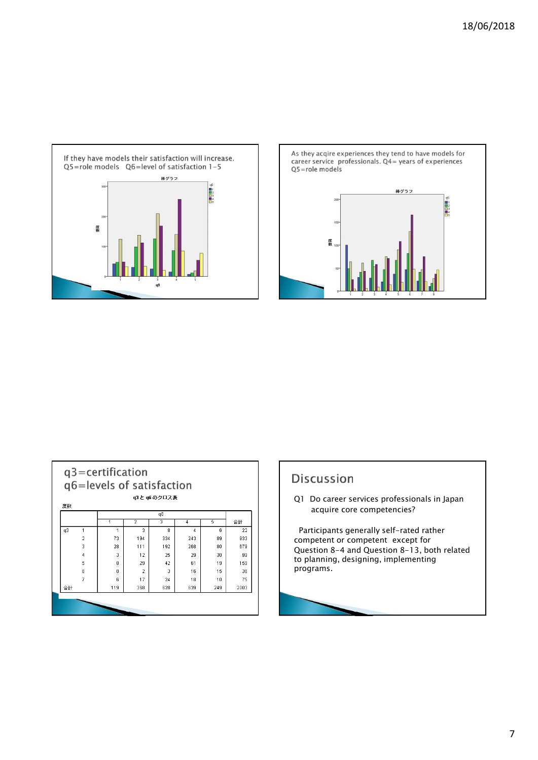



| 度数 |                | q3=certification<br>q6=levels of satisfaction |                | u3 と u6 のクロス表 |     |     |      |
|----|----------------|-----------------------------------------------|----------------|---------------|-----|-----|------|
|    |                |                                               |                | q6            |     |     |      |
|    |                | 1                                             | 2              | 3             | 4   | 5   | 合計   |
| q3 | 1              | 1                                             | 3              | 8             | 4   | 6   | 22   |
|    | $\overline{2}$ | 73                                            | 194            | 334           | 243 | 89  | 933  |
|    | $\overline{3}$ | 28                                            | 111            | 192           | 268 | 80  | 679  |
|    | 4              | 3                                             | 12             | 25            | 29  | 30  | 99   |
|    | 5              | 8                                             | 29             | 42            | 61  | 19  | 159  |
|    | 6              | $\Omega$                                      | $\overline{2}$ | 3             | 16  | 15  | 36   |
|    | 7              | ĥ.                                            | 17             | 24            | 18  | 10  | 75   |
| 合計 |                | 119                                           | 368            | 628           | 639 | 249 | 2003 |
|    |                |                                               |                |               |     |     |      |

Q1 Do career services professionals in Japan acquire core competencies?

Participants generally self-rated rather<br>competent or competent except for Discussion<br>
Q1 Do career services professionals in Japan<br>
acquire core competencies?<br>
Participants generally self-rated rather<br>
competent or competent except for<br>
Question 8–4 and Question 8–13, both related<br>
programs. Question 8-4 and Question 8-13, both related to planning, designing, implementing programs.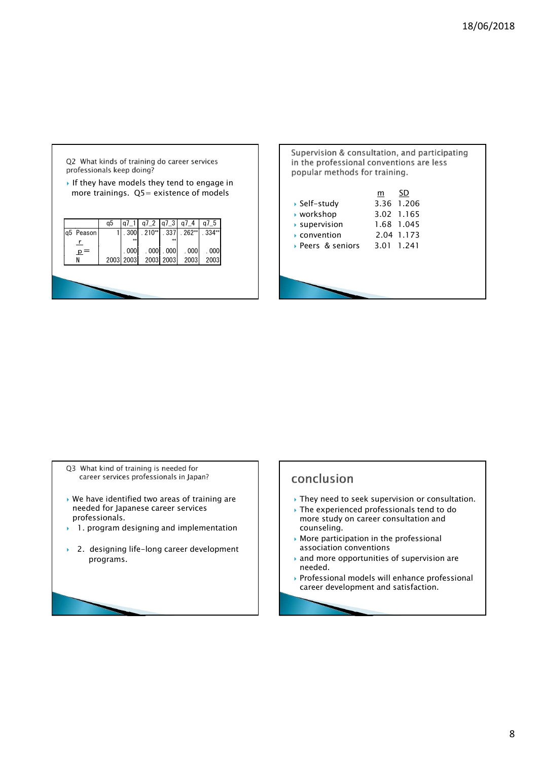

|                                                                            |                                                                                           | 18/06/2018 |
|----------------------------------------------------------------------------|-------------------------------------------------------------------------------------------|------------|
|                                                                            |                                                                                           |            |
|                                                                            |                                                                                           |            |
| popular methods for training.                                              | Supervision & consultation, and participating<br>in the professional conventions are less |            |
| ▶ Self-study<br>▶ workshop<br>supervision<br>convention<br>Peers & seniors | SD<br>m<br>3.36 1.206<br>3.02 1.165<br>1.68 1.045<br>2.04 1.173<br>3.01 1.241             |            |
|                                                                            |                                                                                           |            |
|                                                                            |                                                                                           |            |

- Q3 What kind of training is needed for career services professionals in Japan?
- needed for Japanese career services and a service and the experienced professionals tend to do professionals.
- ▶ 1. program designing and implementation
- ▶ 2. designing life-long career development

# conclusion

- We have identified two areas of training are  $\|\cdot\|$  > They need to seek supervision or consultation.
	- Note that they head to seek supervision or consultation.<br>
	Het for Japanese career services<br>
	essionals.<br>
	program designing and implementation<br>
	designing life-long career development<br>
	programs.<br>
	<br>
	<br>
	<br>
	<br>
	<br>
	<br>
	<br>
	<br>
	<br>
	<br>
	<br>
	<br>
	<br>
	<br>
	<br> more study on career consultation and counseling.
		- More participation in the professional association conventions
		- and more opportunities of supervision are needed.
		- Professional models will enhance professional career development and satisfaction.